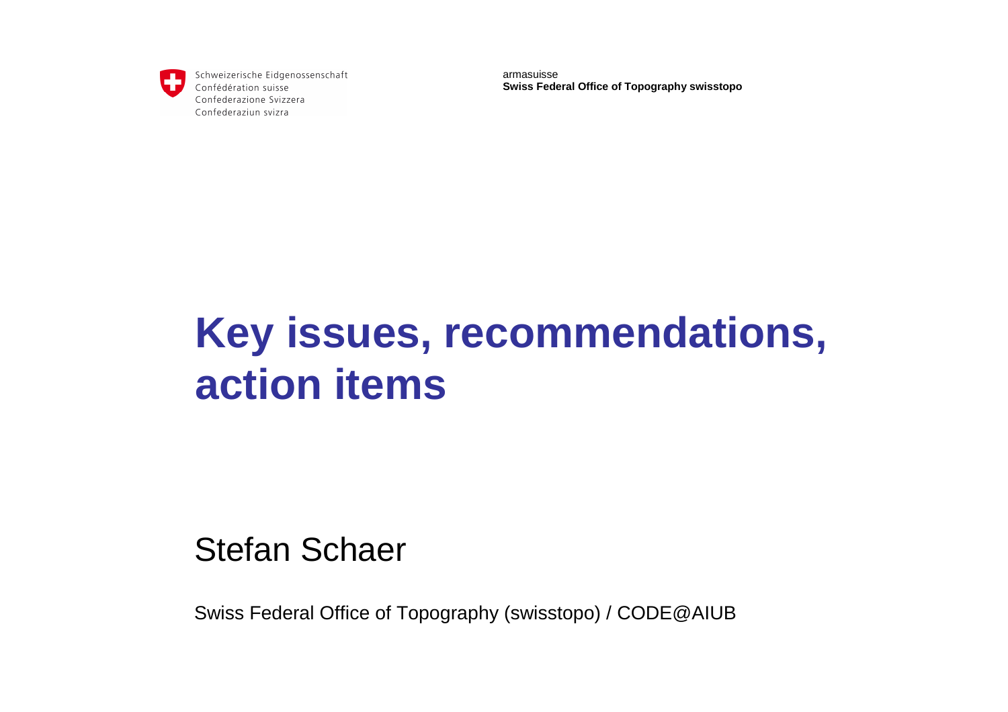

Schweizerische Eidgenossenschaft Confédération suisse Confederazione Svizzera Confederaziun svizra

armasuisse**Swiss Federal Office of Topography swisstopo**

# **Key issues, recommendations, action items**

# Stefan Schaer

Swiss Federal Office of Topography (swisstopo) / CODE@AIUB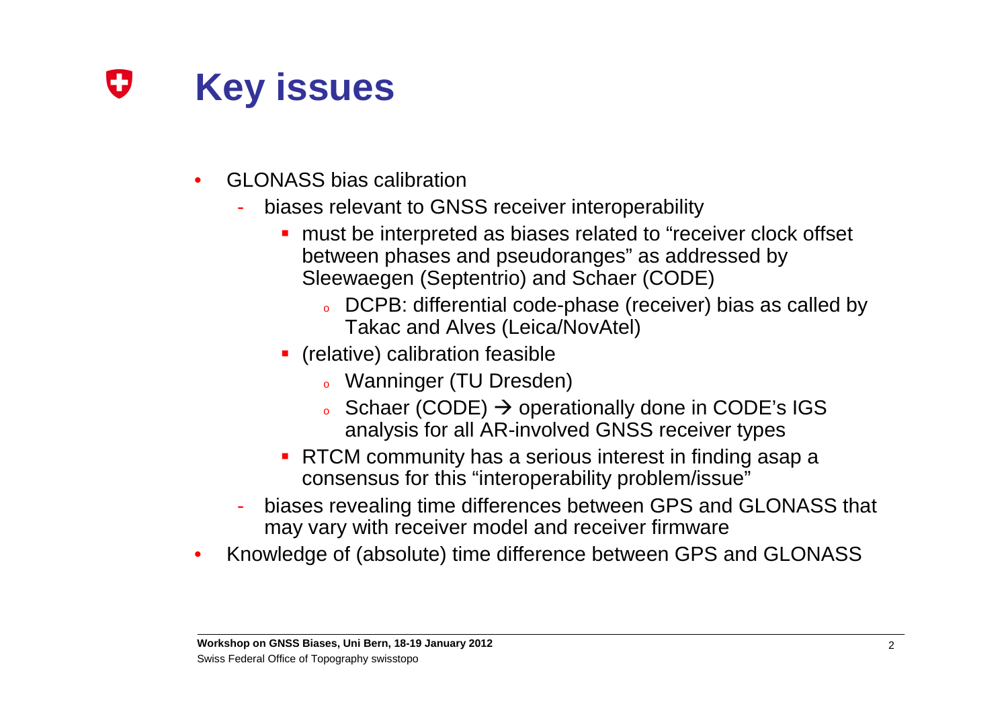#### Œ **Key issues**

- • GLONASS bias calibration
	- biases relevant to GNSS receiver interoperability
		- **nust be interpreted as biases related to "receiver clock offset** between phases and pseudoranges" as addressed by Sleewaegen (Septentrio) and Schaer (CODE)
			- $\bullet$  DCPB: differential code-phase (receiver) bias as called by Takac and Alves (Leica/NovAtel)
		- **•** (relative) calibration feasible
			- 。 Wanninger (TU Dresden)
			- o∘ Schaer (CODE) → operationally done in CODE's IGS<br>analysis for all AR-involved GNSS receiver types analysis for all AR-involved GNSS receiver types
		- RTCM community has a serious interest in finding asap a consensus for this "interoperability problem/issue"
	- biases revealing time differences between GPS and GLONASS that may vary with receiver model and receiver firmware
- Knowledge of (absolute) time difference between GPS and GLONASS•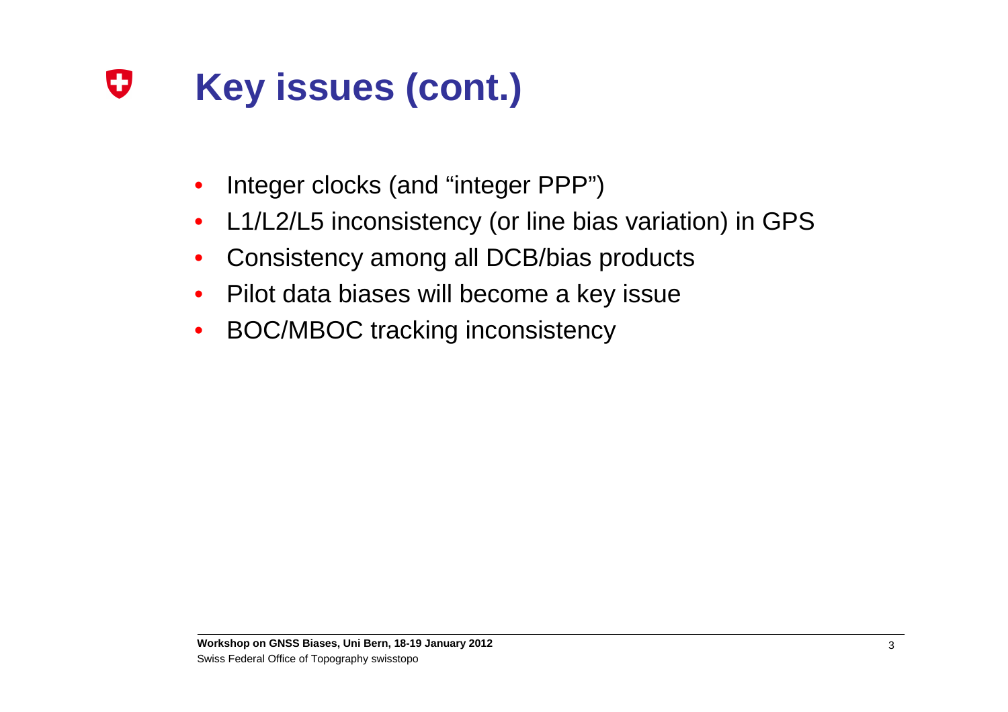#### O **Key issues (cont.)**

- •Integer clocks (and "integer PPP")
- $\bullet$ L1/L2/L5 inconsistency (or line bias variation) in GPS
- $\bullet$ Consistency among all DCB/bias products
- $\bullet$ Pilot data biases will become a key issue
- $\bullet$ BOC/MBOC tracking inconsistency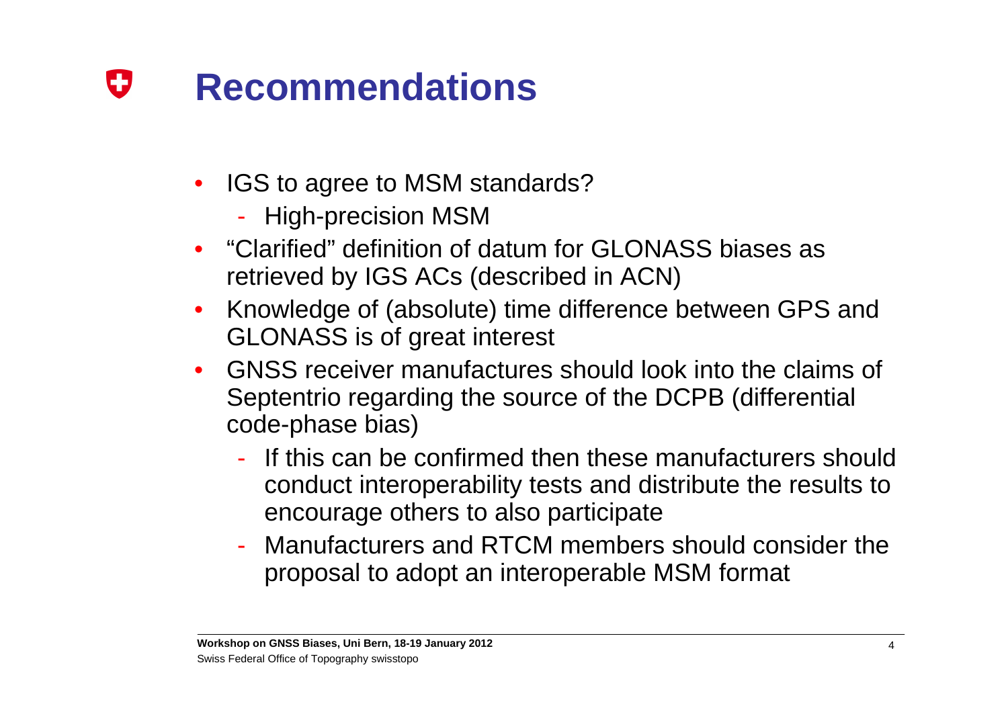#### 0 **Recommendations**

- • IGS to agree to MSM standards?
	- High-precision MSM
- "Clarified" definition of datum for GLONASS biases as •retrieved by IGS ACs (described in ACN)
- $\bullet$  Knowledge of (absolute) time difference between GPS and GLONASS is of great interest
- $\bullet$  GNSS receiver manufactures should look into the claims of Septentrio regarding the source of the DCPB (differential code-phase bias)
	- $\mathcal{L}_{\mathcal{A}}$ - If this can be confirmed then these manufacturers should conduct interoperability tests and distribute the results to encourage others to also participate
	- Manufacturers and RTCM members should consider the proposal to adopt an interoperable MSM format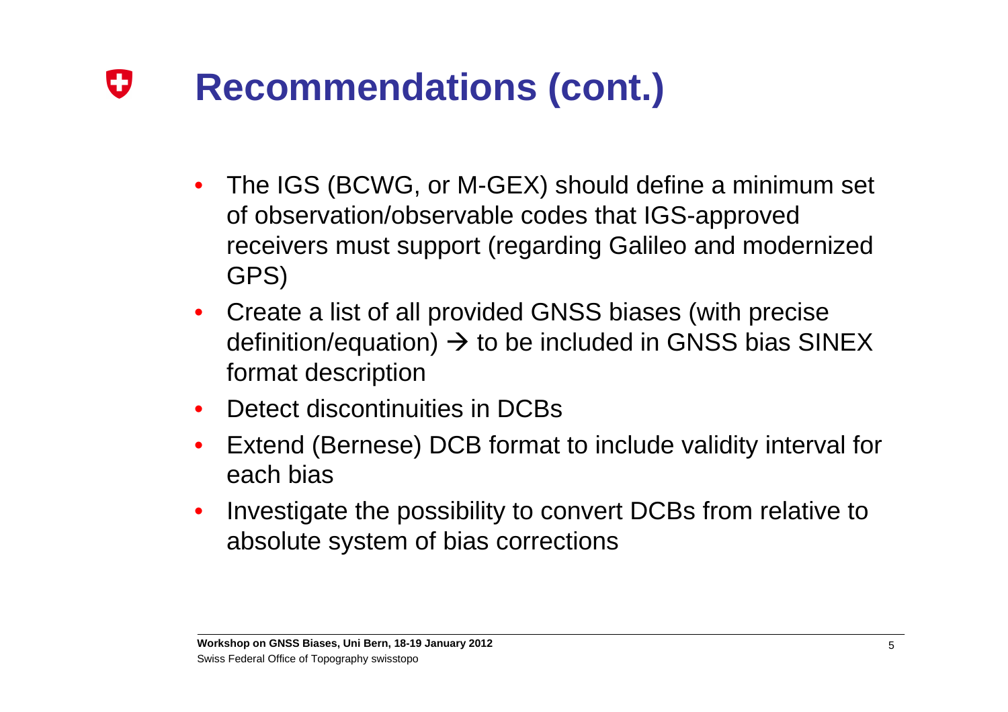## 0 **Recommendations (cont.)**

- $\bullet$  The IGS (BCWG, or M-GEX) should define a minimum set of observation/observable codes that IGS-approved receivers must support (regarding Galileo and modernized GPS)
- $\bullet$  Create a list of all provided GNSS biases (with precise definition/equation) → to be included in GNSS bias SINEX<br>format description format description
- •Detect discontinuities in DCBs
- • Extend (Bernese) DCB format to include validity interval for each bias
- $\bullet$  Investigate the possibility to convert DCBs from relative to absolute system of bias corrections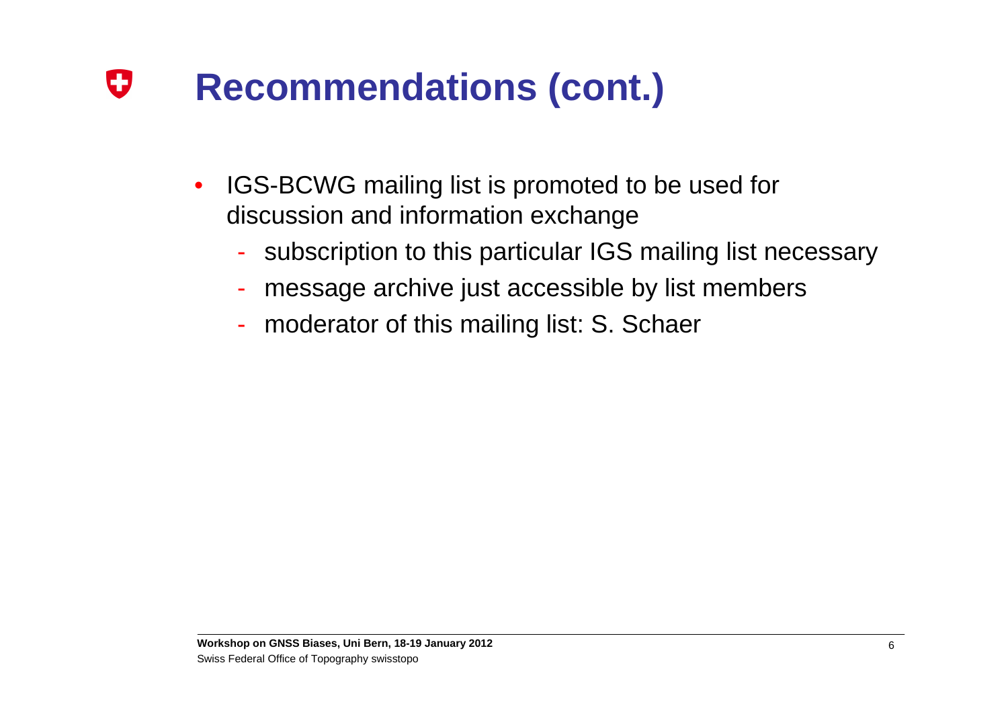## O **Recommendations (cont.)**

- $\bullet$  IGS-BCWG mailing list is promoted to be used for discussion and information exchange
	- $\mathcal{L}_{\mathcal{A}}$ - subscription to this particular IGS mailing list necessary
	- message archive just accessible by list members
	- moderator of this mailing list: S. Schaer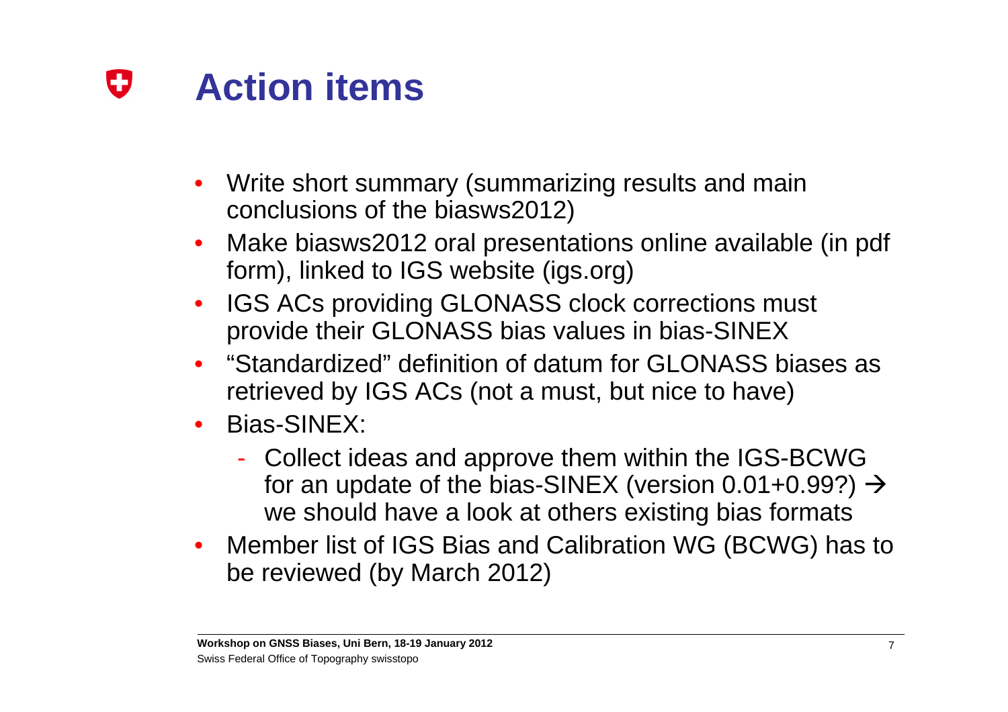#### IJ **Action items**

- • Write short summary (summarizing results and main conclusions of the biasws2012)
- • Make biasws2012 oral presentations online available (in pdf form), linked to IGS website (igs.org)
- $\bullet$  IGS ACs providing GLONASS clock corrections must provide their GLONASS bias values in bias-SINEX
- "Standardized" definition of datum for GLONASS biases as •retrieved by IGS ACs (not a must, but nice to have)
- $\bullet$  Bias-SINEX:
	- $\mathcal{L}_{\mathcal{A}}$  Collect ideas and approve them within the IGS-BCWG for an update of the bias-SINEX (version  $0.01+0.99$ ?)  $\rightarrow$ we should have a look at others existing bias formats
- $\bullet$  Member list of IGS Bias and Calibration WG (BCWG) has to be reviewed (by March 2012)